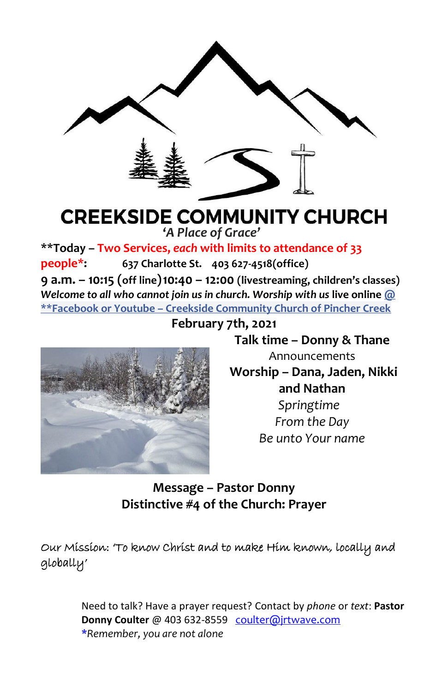

# **CREEKSIDE COMMUNITY CHURCH**

**'***A Place of Grace'*

**\*\*Today – Two Services,** *each* **with limits to attendance of 33 people\*: 637 Charlotte St. 403 627-4518(office) 9 a.m. – 10:15 (off line)10:40 – 12:00 (livestreaming, children's classes)** *Welcome to all who cannot join us in church. Worship with us* **live online @ \*\*Facebook or Youtube – Creekside Community Church of Pincher Creek**

**February 7th, 2021**



**Talk time – Donny & Thane** Announcements

**Worship – Dana, Jaden, Nikki and Nathan** *Springtime From the Day*

*Be unto Your name*

**Message – Pastor Donny Distinctive #4 of the Church: Prayer**

Our Mission: 'To know Christ and to make Him known, locally and globally'

> Need to talk? Have a prayer request? Contact by *phone* or *text*: **Pastor Donny Coulter** @ 403 632-8559 [coulter@jrtwave.com](mailto:coulter@jrtwave.com)  \**Remember, you are not alone*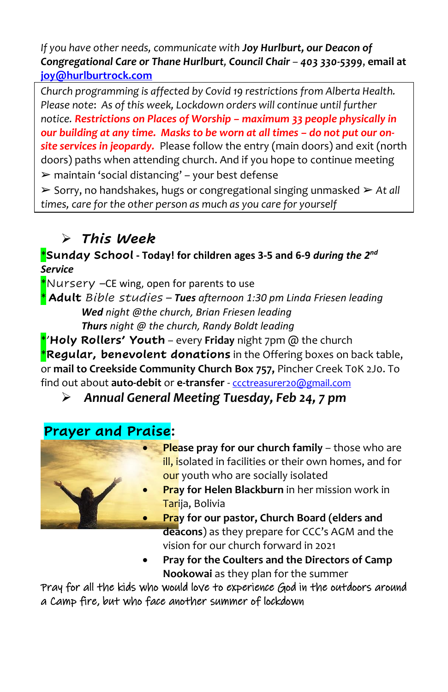*If you have other needs, communicate with Joy Hurlburt, our Deacon of Congregational Care or Thane Hurlburt, Council Chair – 403 330-5399*, **email at [joy@hurlburtrock.com](mailto:joy@hurlburtrock.com)**

*Church programming is affected by Covid 19 restrictions from Alberta Health. Please note*: *As of this week, Lockdown orders will continue until further notice. Restrictions on Places of Worship – maximum 33 people physically in*  our building at any time. Masks to be worn at all times - do not put our on*site services in jeopardy.* Please follow the entry (main doors) and exit (north doors) paths when attending church. And if you hope to continue meeting  $\triangleright$  maintain 'social distancing' – your best defense

➢ Sorry, no handshakes, hugs or congregational singing unmasked ➢ *At all times, care for the other person as much as you care for yourself*

# ➢ *This Week*

#### \***Sunday School - Today! for children ages 3-5 and 6-9** *during the 2 nd Service*

\*Nursery –CE wing, open for parents to use \* **Adult** *Bible studies – Tues afternoon 1:30 pm Linda Friesen leading Wed night @the church, Brian Friesen leading Thurs night @ the church, Randy Boldt leading*

\*'**Holy Rollers' Youth** *–* every **Friday** night 7pm @ the church \***Regular, benevolent donations** in the Offering boxes on back table, or **mail to Creekside Community Church Box 757,** Pincher Creek T0K 2J0. To find out about **auto-debit** or **e-transfer** - [ccctreasurer20@gmail.com](mailto:ccctreasurer20@gmail.com)

➢ *Annual General Meeting Tuesday, Feb 24, 7 pm*

# **Prayer and Praise:**



- **Please pray for our church family** those who are ill, isolated in facilities or their own homes, and for our youth who are socially isolated
- **Pray for Helen Blackburn** in her mission work in Tarija, Bolivia
- **Pray for our pastor, Church Board (elders and deacons**) as they prepare for CCC's AGM and the vision for our church forward in 2021
- **Pray for the Coulters and the Directors of Camp Nookowai** as they plan for the summer

Pray for all the kids who would love to experience God in the outdoors around a Camp fire, but who face another summer of lockdown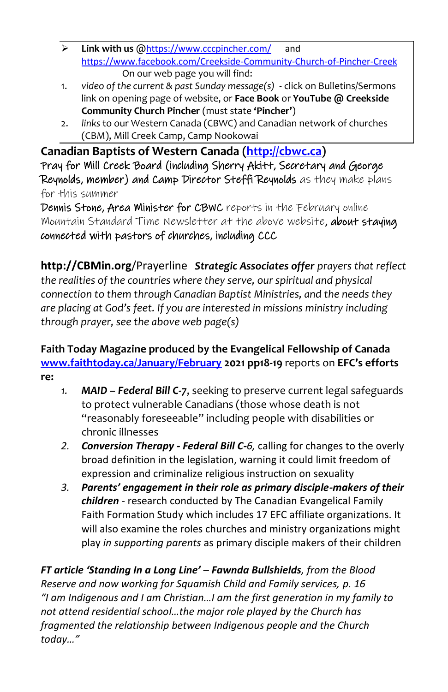- ➢ **Link with us** @<https://www.cccpincher.com/> and <https://www.facebook.com/Creekside-Community-Church-of-Pincher-Creek> On our web page you will find:
- 1. *video of the current & past Sunday message(s)* click on Bulletins/Sermons link on opening page of website, or **Face Book** or **YouTube @ Creekside Community Church Pincher** (must state **'Pincher'**)
- 2. *links* to our Western Canada (CBWC) and Canadian network of churches (CBM), Mill Creek Camp, Camp Nookowai

**Canadian Baptists of Western Canada [\(http://cbwc.ca\)](http://cbwc.ca/)** Pray for Mill Creek Board (including Sherry Akitt, Secretary and George Reynolds, member) and Camp Director Steffi Reynolds as they make plans for this summer

Dennis Stone, Area Minister for CBWC reports in the February online Mountain Standard Time Newsletter at the above website, about staying connected with pastors of churches, including CCC

**http://CBMin.org**/Prayerline *Strategic Associates offer prayers that reflect the realities of the countries where they serve, our spiritual and physical connection to them through Canadian Baptist Ministries, and the needs they are placing at God's feet. If you are interested in missions ministry including through prayer, see the above web page(s)*

#### **Faith Today Magazine produced by the Evangelical Fellowship of Canada [www.faithtoday.ca/January/February](http://www.faithtoday.ca/January/February) 2021 pp18-19** reports on **EFC's efforts re:**

- *1. MAID – Federal Bill C-7*, seeking to preserve current legal safeguards to protect vulnerable Canadians (those whose death is not "reasonably foreseeable" including people with disabilities or chronic illnesses
- *2. Conversion Therapy - Federal Bill C-6,* calling for changes to the overly broad definition in the legislation, warning it could limit freedom of expression and criminalize religious instruction on sexuality
- *3. Parents' engagement in their role as primary disciple-makers of their children -* research conducted by The Canadian Evangelical Family Faith Formation Study which includes 17 EFC affiliate organizations. It will also examine the roles churches and ministry organizations might play *in supporting parents* as primary disciple makers of their children

*FT article 'Standing In a Long Line' – Fawnda Bullshields, from the Blood Reserve and now working for Squamish Child and Family services, p. 16 "I am Indigenous and I am Christian…I am the first generation in my family to not attend residential school…the major role played by the Church has fragmented the relationship between Indigenous people and the Church today…"*